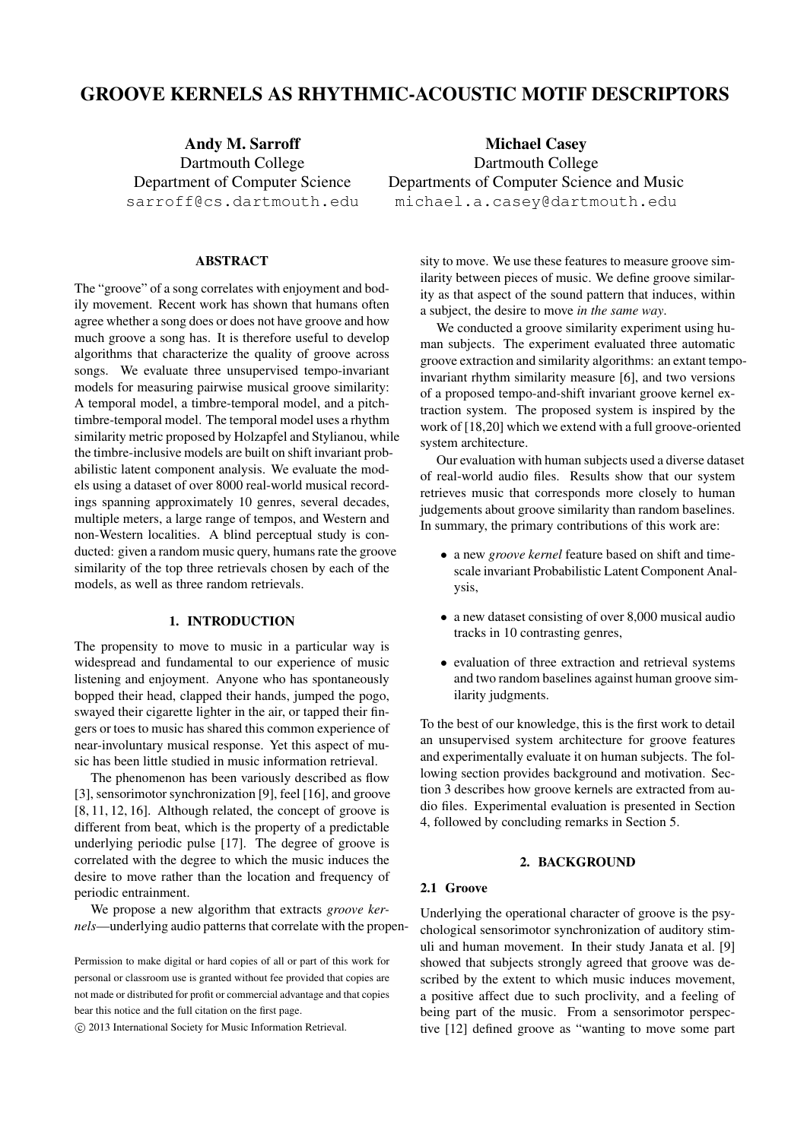# GROOVE KERNELS AS RHYTHMIC-ACOUSTIC MOTIF DESCRIPTORS

Andy M. Sarroff Dartmouth College Department of Computer Science sarroff@cs.dartmouth.edu

Michael Casey Dartmouth College Departments of Computer Science and Music michael.a.casey@dartmouth.edu

# ABSTRACT

The "groove" of a song correlates with enjoyment and bodily movement. Recent work has shown that humans often agree whether a song does or does not have groove and how much groove a song has. It is therefore useful to develop algorithms that characterize the quality of groove across songs. We evaluate three unsupervised tempo-invariant models for measuring pairwise musical groove similarity: A temporal model, a timbre-temporal model, and a pitchtimbre-temporal model. The temporal model uses a rhythm similarity metric proposed by Holzapfel and Stylianou, while the timbre-inclusive models are built on shift invariant probabilistic latent component analysis. We evaluate the models using a dataset of over 8000 real-world musical recordings spanning approximately 10 genres, several decades, multiple meters, a large range of tempos, and Western and non-Western localities. A blind perceptual study is conducted: given a random music query, humans rate the groove similarity of the top three retrievals chosen by each of the models, as well as three random retrievals.

# 1. INTRODUCTION

The propensity to move to music in a particular way is widespread and fundamental to our experience of music listening and enjoyment. Anyone who has spontaneously bopped their head, clapped their hands, jumped the pogo, swayed their cigarette lighter in the air, or tapped their fingers or toes to music has shared this common experience of near-involuntary musical response. Yet this aspect of music has been little studied in music information retrieval.

The phenomenon has been variously described as flow [3], sensorimotor synchronization [9], feel [16], and groove [8, 11, 12, 16]. Although related, the concept of groove is different from beat, which is the property of a predictable underlying periodic pulse [17]. The degree of groove is correlated with the degree to which the music induces the desire to move rather than the location and frequency of periodic entrainment.

We propose a new algorithm that extracts *groove kernels*—underlying audio patterns that correlate with the propen-

c 2013 International Society for Music Information Retrieval.

sity to move. We use these features to measure groove similarity between pieces of music. We define groove similarity as that aspect of the sound pattern that induces, within a subject, the desire to move *in the same way*.

We conducted a groove similarity experiment using human subjects. The experiment evaluated three automatic groove extraction and similarity algorithms: an extant tempoinvariant rhythm similarity measure [6], and two versions of a proposed tempo-and-shift invariant groove kernel extraction system. The proposed system is inspired by the work of [18,20] which we extend with a full groove-oriented system architecture.

Our evaluation with human subjects used a diverse dataset of real-world audio files. Results show that our system retrieves music that corresponds more closely to human judgements about groove similarity than random baselines. In summary, the primary contributions of this work are:

- a new *groove kernel* feature based on shift and timescale invariant Probabilistic Latent Component Analysis,
- a new dataset consisting of over 8,000 musical audio tracks in 10 contrasting genres,
- evaluation of three extraction and retrieval systems and two random baselines against human groove similarity judgments.

To the best of our knowledge, this is the first work to detail an unsupervised system architecture for groove features and experimentally evaluate it on human subjects. The following section provides background and motivation. Section 3 describes how groove kernels are extracted from audio files. Experimental evaluation is presented in Section 4, followed by concluding remarks in Section 5.

#### 2. BACKGROUND

### 2.1 Groove

Underlying the operational character of groove is the psychological sensorimotor synchronization of auditory stimuli and human movement. In their study Janata et al. [9] showed that subjects strongly agreed that groove was described by the extent to which music induces movement, a positive affect due to such proclivity, and a feeling of being part of the music. From a sensorimotor perspective [12] defined groove as "wanting to move some part

Permission to make digital or hard copies of all or part of this work for personal or classroom use is granted without fee provided that copies are not made or distributed for profit or commercial advantage and that copies bear this notice and the full citation on the first page.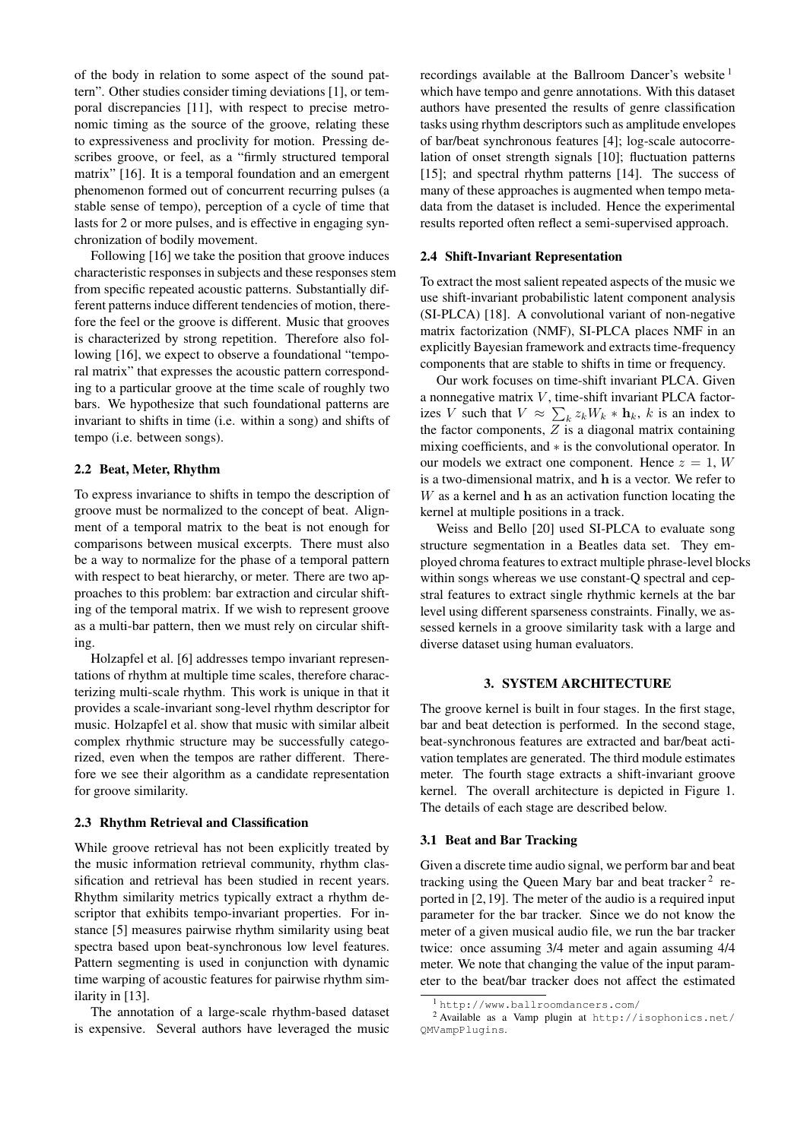of the body in relation to some aspect of the sound pattern". Other studies consider timing deviations [1], or temporal discrepancies [11], with respect to precise metronomic timing as the source of the groove, relating these to expressiveness and proclivity for motion. Pressing describes groove, or feel, as a "firmly structured temporal matrix" [16]. It is a temporal foundation and an emergent phenomenon formed out of concurrent recurring pulses (a stable sense of tempo), perception of a cycle of time that lasts for 2 or more pulses, and is effective in engaging synchronization of bodily movement.

Following [16] we take the position that groove induces characteristic responses in subjects and these responses stem from specific repeated acoustic patterns. Substantially different patterns induce different tendencies of motion, therefore the feel or the groove is different. Music that grooves is characterized by strong repetition. Therefore also following [16], we expect to observe a foundational "temporal matrix" that expresses the acoustic pattern corresponding to a particular groove at the time scale of roughly two bars. We hypothesize that such foundational patterns are invariant to shifts in time (i.e. within a song) and shifts of tempo (i.e. between songs).

### 2.2 Beat, Meter, Rhythm

To express invariance to shifts in tempo the description of groove must be normalized to the concept of beat. Alignment of a temporal matrix to the beat is not enough for comparisons between musical excerpts. There must also be a way to normalize for the phase of a temporal pattern with respect to beat hierarchy, or meter. There are two approaches to this problem: bar extraction and circular shifting of the temporal matrix. If we wish to represent groove as a multi-bar pattern, then we must rely on circular shifting.

Holzapfel et al. [6] addresses tempo invariant representations of rhythm at multiple time scales, therefore characterizing multi-scale rhythm. This work is unique in that it provides a scale-invariant song-level rhythm descriptor for music. Holzapfel et al. show that music with similar albeit complex rhythmic structure may be successfully categorized, even when the tempos are rather different. Therefore we see their algorithm as a candidate representation for groove similarity.

#### 2.3 Rhythm Retrieval and Classification

While groove retrieval has not been explicitly treated by the music information retrieval community, rhythm classification and retrieval has been studied in recent years. Rhythm similarity metrics typically extract a rhythm descriptor that exhibits tempo-invariant properties. For instance [5] measures pairwise rhythm similarity using beat spectra based upon beat-synchronous low level features. Pattern segmenting is used in conjunction with dynamic time warping of acoustic features for pairwise rhythm similarity in [13].

The annotation of a large-scale rhythm-based dataset is expensive. Several authors have leveraged the music recordings available at the Ballroom Dancer's website <sup>1</sup> which have tempo and genre annotations. With this dataset authors have presented the results of genre classification tasks using rhythm descriptors such as amplitude envelopes of bar/beat synchronous features [4]; log-scale autocorrelation of onset strength signals [10]; fluctuation patterns [15]; and spectral rhythm patterns [14]. The success of many of these approaches is augmented when tempo metadata from the dataset is included. Hence the experimental results reported often reflect a semi-supervised approach.

### 2.4 Shift-Invariant Representation

To extract the most salient repeated aspects of the music we use shift-invariant probabilistic latent component analysis (SI-PLCA) [18]. A convolutional variant of non-negative matrix factorization (NMF), SI-PLCA places NMF in an explicitly Bayesian framework and extracts time-frequency components that are stable to shifts in time or frequency.

Our work focuses on time-shift invariant PLCA. Given a nonnegative matrix  $V$ , time-shift invariant PLCA factorizes V such that  $V \approx \sum_k z_k W_k * \mathbf{h}_k$ , k is an index to the factor components,  $Z$  is a diagonal matrix containing mixing coefficients, and ∗ is the convolutional operator. In our models we extract one component. Hence  $z = 1$ , W is a two-dimensional matrix, and h is a vector. We refer to  $W$  as a kernel and  $h$  as an activation function locating the kernel at multiple positions in a track.

Weiss and Bello [20] used SI-PLCA to evaluate song structure segmentation in a Beatles data set. They employed chroma features to extract multiple phrase-level blocks within songs whereas we use constant-Q spectral and cepstral features to extract single rhythmic kernels at the bar level using different sparseness constraints. Finally, we assessed kernels in a groove similarity task with a large and diverse dataset using human evaluators.

### 3. SYSTEM ARCHITECTURE

The groove kernel is built in four stages. In the first stage, bar and beat detection is performed. In the second stage, beat-synchronous features are extracted and bar/beat activation templates are generated. The third module estimates meter. The fourth stage extracts a shift-invariant groove kernel. The overall architecture is depicted in Figure 1. The details of each stage are described below.

### 3.1 Beat and Bar Tracking

Given a discrete time audio signal, we perform bar and beat tracking using the Queen Mary bar and beat tracker<sup>2</sup> reported in [2, 19]. The meter of the audio is a required input parameter for the bar tracker. Since we do not know the meter of a given musical audio file, we run the bar tracker twice: once assuming 3/4 meter and again assuming 4/4 meter. We note that changing the value of the input parameter to the beat/bar tracker does not affect the estimated

<sup>1</sup> http://www.ballroomdancers.com/

<sup>2</sup> Available as a Vamp plugin at http://isophonics.net/ QMVampPlugins.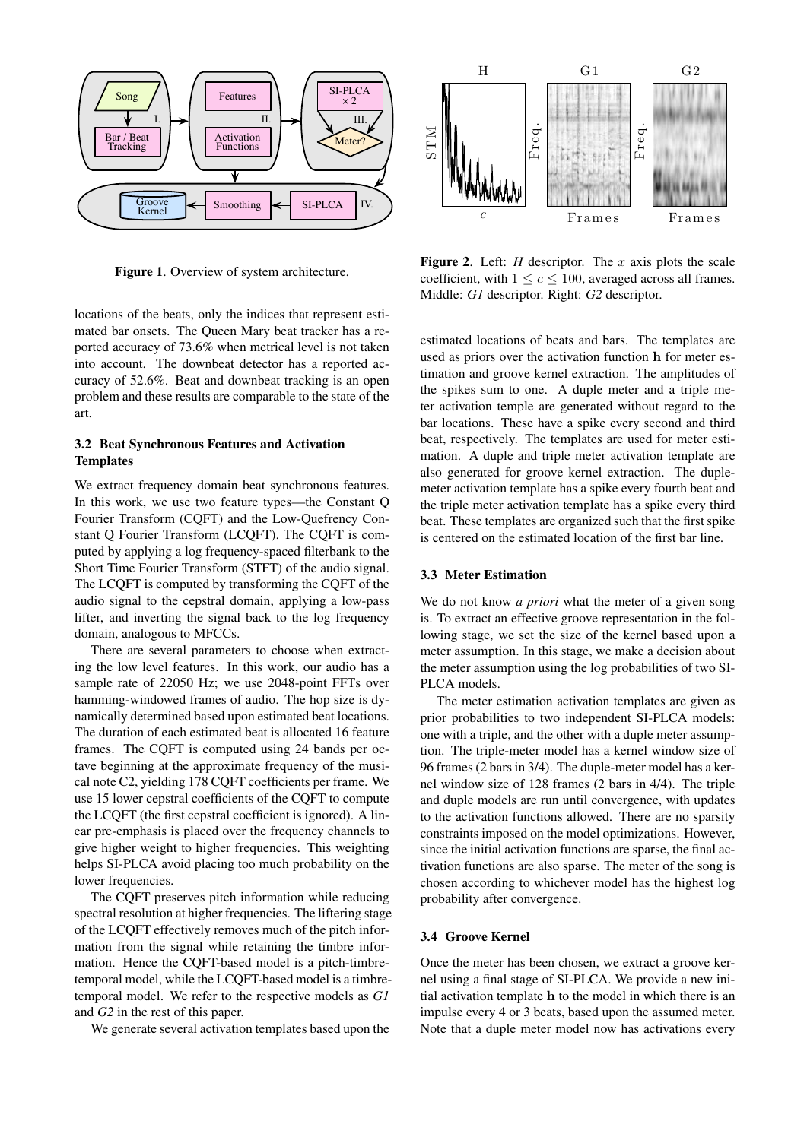

Figure 1. Overview of system architecture.

locations of the beats, only the indices that represent estimated bar onsets. The Queen Mary beat tracker has a reported accuracy of 73.6% when metrical level is not taken into account. The downbeat detector has a reported accuracy of 52.6%. Beat and downbeat tracking is an open problem and these results are comparable to the state of the art.

# 3.2 Beat Synchronous Features and Activation Templates

We extract frequency domain beat synchronous features. In this work, we use two feature types—the Constant Q Fourier Transform (CQFT) and the Low-Quefrency Constant Q Fourier Transform (LCQFT). The CQFT is computed by applying a log frequency-spaced filterbank to the Short Time Fourier Transform (STFT) of the audio signal. The LCQFT is computed by transforming the CQFT of the audio signal to the cepstral domain, applying a low-pass lifter, and inverting the signal back to the log frequency domain, analogous to MFCCs.

There are several parameters to choose when extracting the low level features. In this work, our audio has a sample rate of 22050 Hz; we use 2048-point FFTs over hamming-windowed frames of audio. The hop size is dynamically determined based upon estimated beat locations. The duration of each estimated beat is allocated 16 feature frames. The CQFT is computed using 24 bands per octave beginning at the approximate frequency of the musical note C2, yielding 178 CQFT coefficients per frame. We use 15 lower cepstral coefficients of the CQFT to compute the LCQFT (the first cepstral coefficient is ignored). A linear pre-emphasis is placed over the frequency channels to give higher weight to higher frequencies. This weighting helps SI-PLCA avoid placing too much probability on the lower frequencies.

The CQFT preserves pitch information while reducing spectral resolution at higher frequencies. The liftering stage of the LCQFT effectively removes much of the pitch information from the signal while retaining the timbre information. Hence the CQFT-based model is a pitch-timbretemporal model, while the LCQFT-based model is a timbretemporal model. We refer to the respective models as *G1* and *G2* in the rest of this paper.

We generate several activation templates based upon the



Figure 2. Left:  $H$  descriptor. The  $x$  axis plots the scale coefficient, with  $1 \leq c \leq 100$ , averaged across all frames. Middle: *G1* descriptor. Right: *G2* descriptor.

estimated locations of beats and bars. The templates are used as priors over the activation function h for meter estimation and groove kernel extraction. The amplitudes of the spikes sum to one. A duple meter and a triple meter activation temple are generated without regard to the bar locations. These have a spike every second and third beat, respectively. The templates are used for meter estimation. A duple and triple meter activation template are also generated for groove kernel extraction. The duplemeter activation template has a spike every fourth beat and the triple meter activation template has a spike every third beat. These templates are organized such that the first spike is centered on the estimated location of the first bar line.

# 3.3 Meter Estimation

We do not know *a priori* what the meter of a given song is. To extract an effective groove representation in the following stage, we set the size of the kernel based upon a meter assumption. In this stage, we make a decision about the meter assumption using the log probabilities of two SI-PLCA models.

The meter estimation activation templates are given as prior probabilities to two independent SI-PLCA models: one with a triple, and the other with a duple meter assumption. The triple-meter model has a kernel window size of 96 frames (2 bars in 3/4). The duple-meter model has a kernel window size of 128 frames (2 bars in 4/4). The triple and duple models are run until convergence, with updates to the activation functions allowed. There are no sparsity constraints imposed on the model optimizations. However, since the initial activation functions are sparse, the final activation functions are also sparse. The meter of the song is chosen according to whichever model has the highest log probability after convergence.

### 3.4 Groove Kernel

Once the meter has been chosen, we extract a groove kernel using a final stage of SI-PLCA. We provide a new initial activation template h to the model in which there is an impulse every 4 or 3 beats, based upon the assumed meter. Note that a duple meter model now has activations every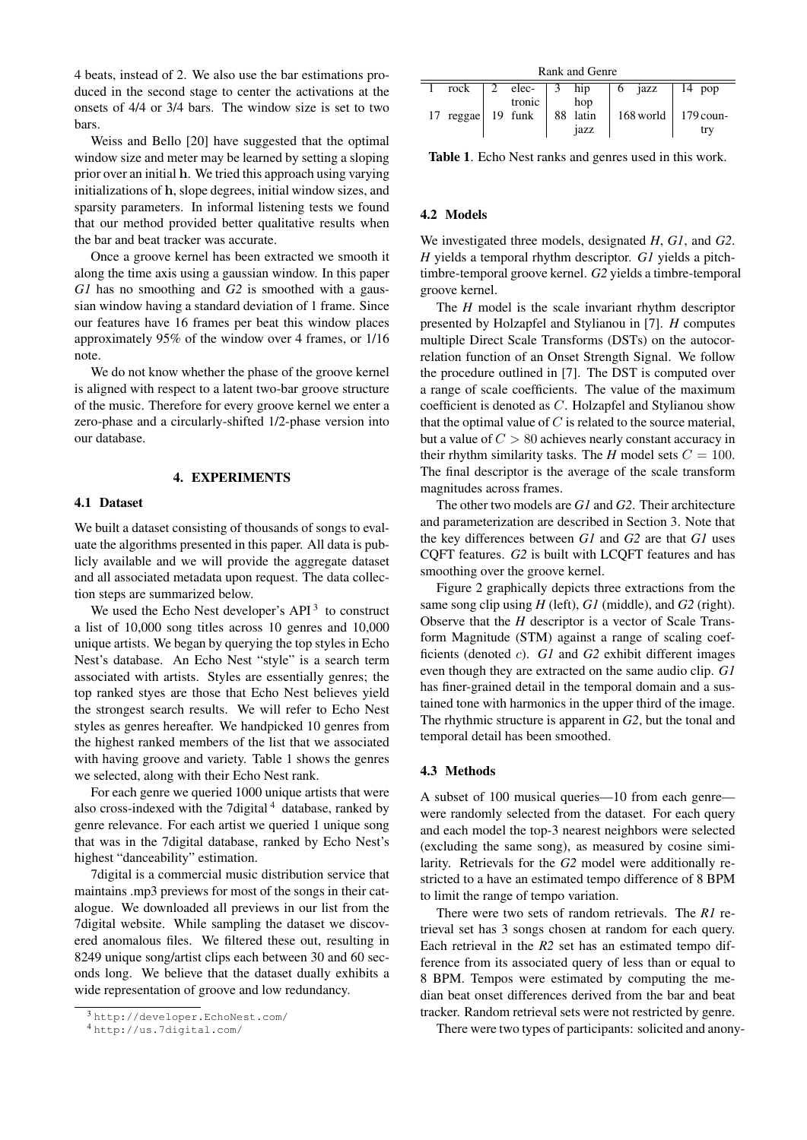4 beats, instead of 2. We also use the bar estimations produced in the second stage to center the activations at the onsets of 4/4 or 3/4 bars. The window size is set to two bars.

Weiss and Bello [20] have suggested that the optimal window size and meter may be learned by setting a sloping prior over an initial h. We tried this approach using varying initializations of h, slope degrees, initial window sizes, and sparsity parameters. In informal listening tests we found that our method provided better qualitative results when the bar and beat tracker was accurate.

Once a groove kernel has been extracted we smooth it along the time axis using a gaussian window. In this paper *G1* has no smoothing and *G2* is smoothed with a gaussian window having a standard deviation of 1 frame. Since our features have 16 frames per beat this window places approximately 95% of the window over 4 frames, or 1/16 note.

We do not know whether the phase of the groove kernel is aligned with respect to a latent two-bar groove structure of the music. Therefore for every groove kernel we enter a zero-phase and a circularly-shifted 1/2-phase version into our database.

# 4. EXPERIMENTS

### 4.1 Dataset

We built a dataset consisting of thousands of songs to evaluate the algorithms presented in this paper. All data is publicly available and we will provide the aggregate dataset and all associated metadata upon request. The data collection steps are summarized below.

We used the Echo Nest developer's API<sup>3</sup> to construct a list of 10,000 song titles across 10 genres and 10,000 unique artists. We began by querying the top styles in Echo Nest's database. An Echo Nest "style" is a search term associated with artists. Styles are essentially genres; the top ranked styes are those that Echo Nest believes yield the strongest search results. We will refer to Echo Nest styles as genres hereafter. We handpicked 10 genres from the highest ranked members of the list that we associated with having groove and variety. Table 1 shows the genres we selected, along with their Echo Nest rank.

For each genre we queried 1000 unique artists that were also cross-indexed with the  $7$ digital<sup>4</sup> database, ranked by genre relevance. For each artist we queried 1 unique song that was in the 7digital database, ranked by Echo Nest's highest "danceability" estimation.

7digital is a commercial music distribution service that maintains .mp3 previews for most of the songs in their catalogue. We downloaded all previews in our list from the 7digital website. While sampling the dataset we discovered anomalous files. We filtered these out, resulting in 8249 unique song/artist clips each between 30 and 60 seconds long. We believe that the dataset dually exhibits a wide representation of groove and low redundancy.

| Rank and Genre |                       |  |                                                    |  |          |  |          |                         |  |
|----------------|-----------------------|--|----------------------------------------------------|--|----------|--|----------|-------------------------|--|
|                | rock                  |  | 2 elec- $\begin{vmatrix} 3 \\ 1 \end{vmatrix}$ hip |  |          |  | $6$ jazz | $14$ pop                |  |
|                |                       |  | tronic                                             |  | hop      |  |          |                         |  |
|                | 17 $reggae$ 19 $funk$ |  |                                                    |  | 88 latin |  |          | $168$ world   179 coun- |  |
|                |                       |  |                                                    |  | 1azz     |  |          | trv                     |  |

Table 1. Echo Nest ranks and genres used in this work.

## 4.2 Models

We investigated three models, designated *H*, *G1*, and *G2*. *H* yields a temporal rhythm descriptor. *G1* yields a pitchtimbre-temporal groove kernel. *G2* yields a timbre-temporal groove kernel.

The *H* model is the scale invariant rhythm descriptor presented by Holzapfel and Stylianou in [7]. *H* computes multiple Direct Scale Transforms (DSTs) on the autocorrelation function of an Onset Strength Signal. We follow the procedure outlined in [7]. The DST is computed over a range of scale coefficients. The value of the maximum coefficient is denoted as C. Holzapfel and Stylianou show that the optimal value of  $C$  is related to the source material, but a value of  $C > 80$  achieves nearly constant accuracy in their rhythm similarity tasks. The *H* model sets  $C = 100$ . The final descriptor is the average of the scale transform magnitudes across frames.

The other two models are *G1* and *G2*. Their architecture and parameterization are described in Section 3. Note that the key differences between *G1* and *G2* are that *G1* uses CQFT features. *G2* is built with LCQFT features and has smoothing over the groove kernel.

Figure 2 graphically depicts three extractions from the same song clip using *H* (left), *G1* (middle), and *G2* (right). Observe that the *H* descriptor is a vector of Scale Transform Magnitude (STM) against a range of scaling coefficients (denoted c). *G1* and *G2* exhibit different images even though they are extracted on the same audio clip. *G1* has finer-grained detail in the temporal domain and a sustained tone with harmonics in the upper third of the image. The rhythmic structure is apparent in *G2*, but the tonal and temporal detail has been smoothed.

#### 4.3 Methods

A subset of 100 musical queries—10 from each genre were randomly selected from the dataset. For each query and each model the top-3 nearest neighbors were selected (excluding the same song), as measured by cosine similarity. Retrievals for the *G2* model were additionally restricted to a have an estimated tempo difference of 8 BPM to limit the range of tempo variation.

There were two sets of random retrievals. The *R1* retrieval set has 3 songs chosen at random for each query. Each retrieval in the *R2* set has an estimated tempo difference from its associated query of less than or equal to 8 BPM. Tempos were estimated by computing the median beat onset differences derived from the bar and beat tracker. Random retrieval sets were not restricted by genre.

There were two types of participants: solicited and anony-

<sup>3</sup> http://developer.EchoNest.com/

<sup>4</sup> http://us.7digital.com/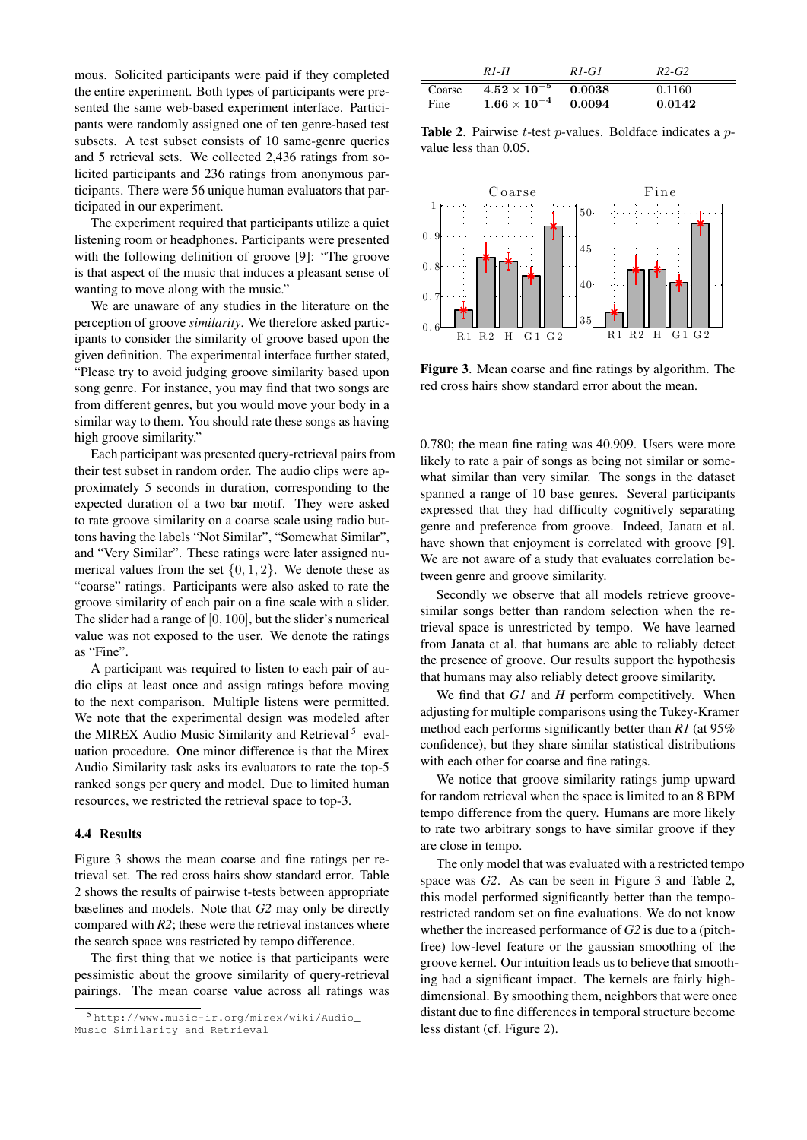mous. Solicited participants were paid if they completed the entire experiment. Both types of participants were presented the same web-based experiment interface. Participants were randomly assigned one of ten genre-based test subsets. A test subset consists of 10 same-genre queries and 5 retrieval sets. We collected 2,436 ratings from solicited participants and 236 ratings from anonymous participants. There were 56 unique human evaluators that participated in our experiment.

The experiment required that participants utilize a quiet listening room or headphones. Participants were presented with the following definition of groove [9]: "The groove is that aspect of the music that induces a pleasant sense of wanting to move along with the music."

We are unaware of any studies in the literature on the perception of groove *similarity*. We therefore asked participants to consider the similarity of groove based upon the given definition. The experimental interface further stated, "Please try to avoid judging groove similarity based upon song genre. For instance, you may find that two songs are from different genres, but you would move your body in a similar way to them. You should rate these songs as having high groove similarity."

Each participant was presented query-retrieval pairs from their test subset in random order. The audio clips were approximately 5 seconds in duration, corresponding to the expected duration of a two bar motif. They were asked to rate groove similarity on a coarse scale using radio buttons having the labels "Not Similar", "Somewhat Similar", and "Very Similar". These ratings were later assigned numerical values from the set  $\{0, 1, 2\}$ . We denote these as "coarse" ratings. Participants were also asked to rate the groove similarity of each pair on a fine scale with a slider. The slider had a range of [0, 100], but the slider's numerical value was not exposed to the user. We denote the ratings as "Fine".

A participant was required to listen to each pair of audio clips at least once and assign ratings before moving to the next comparison. Multiple listens were permitted. We note that the experimental design was modeled after the MIREX Audio Music Similarity and Retrieval<sup>5</sup> evaluation procedure. One minor difference is that the Mirex Audio Similarity task asks its evaluators to rate the top-5 ranked songs per query and model. Due to limited human resources, we restricted the retrieval space to top-3.

# 4.4 Results

Figure 3 shows the mean coarse and fine ratings per retrieval set. The red cross hairs show standard error. Table 2 shows the results of pairwise t-tests between appropriate baselines and models. Note that *G2* may only be directly compared with *R2*; these were the retrieval instances where the search space was restricted by tempo difference.

The first thing that we notice is that participants were pessimistic about the groove similarity of query-retrieval pairings. The mean coarse value across all ratings was

|      | RI-H                         | $R1-G1$ | $R2-G2$ |
|------|------------------------------|---------|---------|
|      | Coarse $4.52 \times 10^{-5}$ | 0.0038  | 0.1160  |
| Fine | $1.66\times10^{-4}$          | 0.0094  | 0.0142  |

**Table 2.** Pairwise  $t$ -test  $p$ -values. Boldface indicates a  $p$ value less than 0.05.



Figure 3. Mean coarse and fine ratings by algorithm. The red cross hairs show standard error about the mean.

0.780; the mean fine rating was 40.909. Users were more likely to rate a pair of songs as being not similar or somewhat similar than very similar. The songs in the dataset spanned a range of 10 base genres. Several participants expressed that they had difficulty cognitively separating genre and preference from groove. Indeed, Janata et al. have shown that enjoyment is correlated with groove [9]. We are not aware of a study that evaluates correlation between genre and groove similarity.

Secondly we observe that all models retrieve groovesimilar songs better than random selection when the retrieval space is unrestricted by tempo. We have learned from Janata et al. that humans are able to reliably detect the presence of groove. Our results support the hypothesis that humans may also reliably detect groove similarity.

We find that *G1* and *H* perform competitively. When adjusting for multiple comparisons using the Tukey-Kramer method each performs significantly better than *R1* (at 95% confidence), but they share similar statistical distributions with each other for coarse and fine ratings.

We notice that groove similarity ratings jump upward for random retrieval when the space is limited to an 8 BPM tempo difference from the query. Humans are more likely to rate two arbitrary songs to have similar groove if they are close in tempo.

The only model that was evaluated with a restricted tempo space was *G2*. As can be seen in Figure 3 and Table 2, this model performed significantly better than the temporestricted random set on fine evaluations. We do not know whether the increased performance of *G2* is due to a (pitchfree) low-level feature or the gaussian smoothing of the groove kernel. Our intuition leads us to believe that smoothing had a significant impact. The kernels are fairly highdimensional. By smoothing them, neighbors that were once distant due to fine differences in temporal structure become less distant (cf. Figure 2).

<sup>5</sup> http://www.music-ir.org/mirex/wiki/Audio\_ Music\_Similarity\_and\_Retrieval